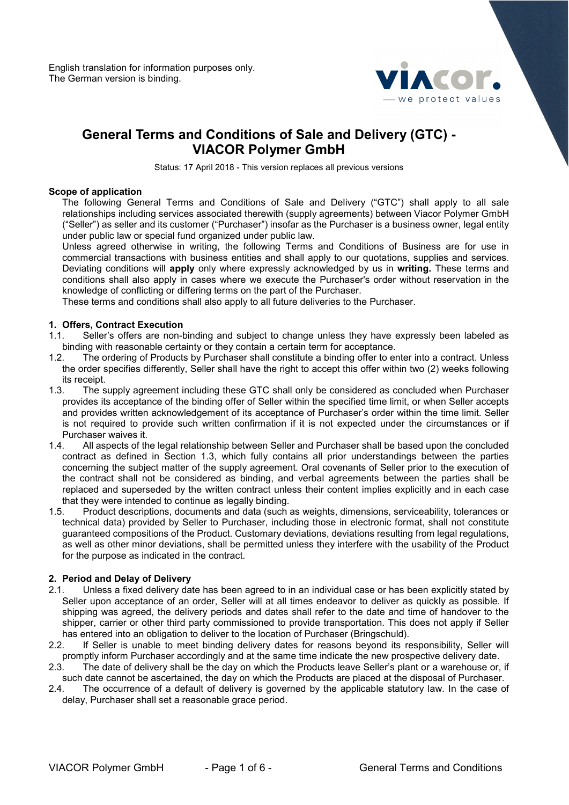

# **General Terms and Conditions of Sale and Delivery (GTC) - VIACOR Polymer GmbH**

Status: 17 April 2018 - This version replaces all previous versions

### **Scope of application**

The following General Terms and Conditions of Sale and Delivery ("GTC") shall apply to all sale relationships including services associated therewith (supply agreements) between Viacor Polymer GmbH ("Seller") as seller and its customer ("Purchaser") insofar as the Purchaser is a business owner, legal entity under public law or special fund organized under public law.

Unless agreed otherwise in writing, the following Terms and Conditions of Business are for use in commercial transactions with business entities and shall apply to our quotations, supplies and services. Deviating conditions will **apply** only where expressly acknowledged by us in **writing.** These terms and conditions shall also apply in cases where we execute the Purchaser's order without reservation in the knowledge of conflicting or differing terms on the part of the Purchaser.

These terms and conditions shall also apply to all future deliveries to the Purchaser.

### **1. Offers, Contract Execution**

- 1.1. Seller's offers are non-binding and subject to change unless they have expressly been labeled as binding with reasonable certainty or they contain a certain term for acceptance.<br>1.2. The ordering of Products by Purchaser shall constitute a binding offer to er
- The ordering of Products by Purchaser shall constitute a binding offer to enter into a contract. Unless the order specifies differently, Seller shall have the right to accept this offer within two (2) weeks following its receipt.<br>1.3. The s
- The supply agreement including these GTC shall only be considered as concluded when Purchaser provides its acceptance of the binding offer of Seller within the specified time limit, or when Seller accepts and provides written acknowledgement of its acceptance of Purchaser's order within the time limit. Seller is not required to provide such written confirmation if it is not expected under the circumstances or if Purchaser waives it.
- 1.4. All aspects of the legal relationship between Seller and Purchaser shall be based upon the concluded contract as defined in Section 1.3, which fully contains all prior understandings between the parties concerning the subject matter of the supply agreement. Oral covenants of Seller prior to the execution of the contract shall not be considered as binding, and verbal agreements between the parties shall be replaced and superseded by the written contract unless their content implies explicitly and in each case that they were intended to continue as legally binding.
- 1.5. Product descriptions, documents and data (such as weights, dimensions, serviceability, tolerances or technical data) provided by Seller to Purchaser, including those in electronic format, shall not constitute guaranteed compositions of the Product. Customary deviations, deviations resulting from legal regulations, as well as other minor deviations, shall be permitted unless they interfere with the usability of the Product for the purpose as indicated in the contract.

### **2. Period and Delay of Delivery**

- 2.1. Unless a fixed delivery date has been agreed to in an individual case or has been explicitly stated by Seller upon acceptance of an order, Seller will at all times endeavor to deliver as quickly as possible. If shipping was agreed, the delivery periods and dates shall refer to the date and time of handover to the shipper, carrier or other third party commissioned to provide transportation. This does not apply if Seller has entered into an obligation to deliver to the location of Purchaser (Bringschuld).<br>2.2. If Seller is unable to meet binding delivery dates for reasons beyond its re
- If Seller is unable to meet binding delivery dates for reasons beyond its responsibility, Seller will promptly inform Purchaser accordingly and at the same time indicate the new prospective delivery date.<br>2.3. The date of delivery shall be the day on which the Products leave Seller's plant or a warehouse or.
- The date of delivery shall be the day on which the Products leave Seller's plant or a warehouse or, if such date cannot be ascertained, the day on which the Products are placed at the disposal of Purchaser.
- 2.4. The occurrence of a default of delivery is governed by the applicable statutory law. In the case of delay, Purchaser shall set a reasonable grace period.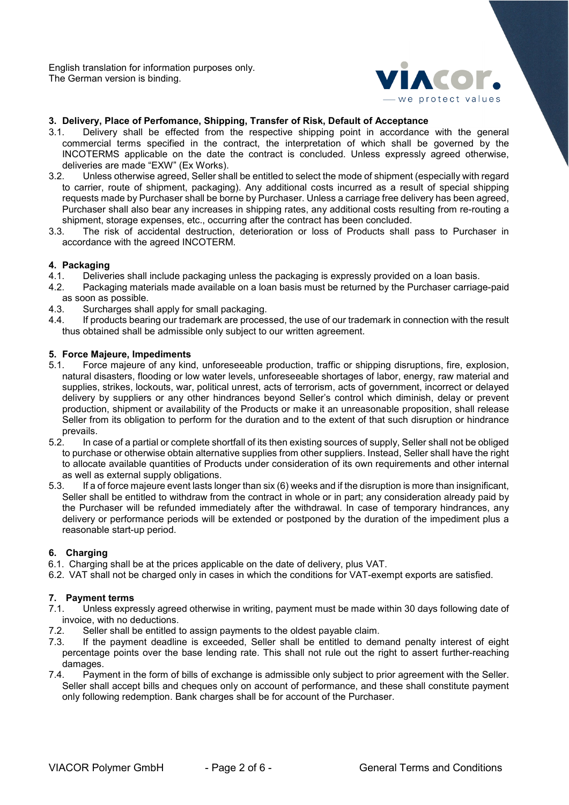

# **3. Delivery, Place of Perfomance, Shipping, Transfer of Risk, Default of Acceptance**

- Delivery shall be effected from the respective shipping point in accordance with the general commercial terms specified in the contract, the interpretation of which shall be governed by the INCOTERMS applicable on the date the contract is concluded. Unless expressly agreed otherwise, deliveries are made "EXW" (Ex Works).<br>32 Unless otherwise agreed Seller sha
- Unless otherwise agreed, Seller shall be entitled to select the mode of shipment (especially with regard to carrier, route of shipment, packaging). Any additional costs incurred as a result of special shipping requests made by Purchaser shall be borne by Purchaser. Unless a carriage free delivery has been agreed, Purchaser shall also bear any increases in shipping rates, any additional costs resulting from re-routing a shipment, storage expenses, etc., occurring after the contract has been concluded.<br>3.3. The risk of accidental destruction, deterioration or loss of Products shall
- The risk of accidental destruction, deterioration or loss of Products shall pass to Purchaser in accordance with the agreed INCOTERM.

### **4. Packaging**

- 4.1. Deliveries shall include packaging unless the packaging is expressly provided on a loan basis.
- 4.2. Packaging materials made available on a loan basis must be returned by the Purchaser carriage-paid as soon as possible.<br>4.3. Surcharges sha
- Surcharges shall apply for small packaging.
- 4.4. If products bearing our trademark are processed, the use of our trademark in connection with the result thus obtained shall be admissible only subject to our written agreement.

### **5. Force Majeure, Impediments**

- 5.1. Force majeure of any kind, unforeseeable production, traffic or shipping disruptions, fire, explosion, natural disasters, flooding or low water levels, unforeseeable shortages of labor, energy, raw material and supplies, strikes, lockouts, war, political unrest, acts of terrorism, acts of government, incorrect or delayed delivery by suppliers or any other hindrances beyond Seller's control which diminish, delay or prevent production, shipment or availability of the Products or make it an unreasonable proposition, shall release Seller from its obligation to perform for the duration and to the extent of that such disruption or hindrance prevails.<br>5.2. In ca
- In case of a partial or complete shortfall of its then existing sources of supply, Seller shall not be obliged to purchase or otherwise obtain alternative supplies from other suppliers. Instead, Seller shall have the right to allocate available quantities of Products under consideration of its own requirements and other internal as well as external supply obligations.<br>5.3. If a of force majeure event lasts lor
- If a of force majeure event lasts longer than six (6) weeks and if the disruption is more than insignificant, Seller shall be entitled to withdraw from the contract in whole or in part; any consideration already paid by the Purchaser will be refunded immediately after the withdrawal. In case of temporary hindrances, any delivery or performance periods will be extended or postponed by the duration of the impediment plus a reasonable start-up period.

### **6. Charging**

- 6.1. Charging shall be at the prices applicable on the date of delivery, plus VAT.
- 6.2. VAT shall not be charged only in cases in which the conditions for VAT-exempt exports are satisfied.

### **7. Payment terms**

- 7.1. Unless expressly agreed otherwise in writing, payment must be made within 30 days following date of invoice, with no deductions.
- 7.2. Seller shall be entitled to assign payments to the oldest payable claim.
- 7.3. If the payment deadline is exceeded, Seller shall be entitled to demand penalty interest of eight percentage points over the base lending rate. This shall not rule out the right to assert further-reaching damages.<br>7.4. Pavn
- Payment in the form of bills of exchange is admissible only subject to prior agreement with the Seller. Seller shall accept bills and cheques only on account of performance, and these shall constitute payment only following redemption. Bank charges shall be for account of the Purchaser.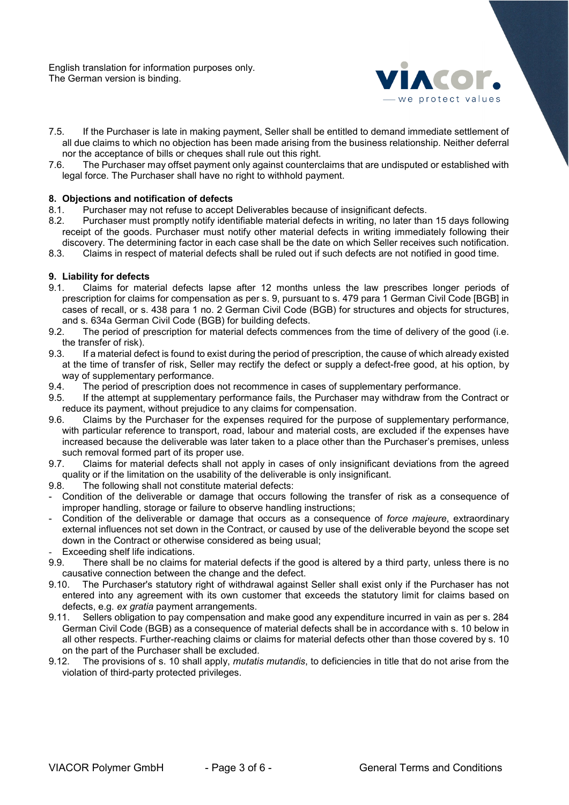

- 7.5. If the Purchaser is late in making payment, Seller shall be entitled to demand immediate settlement of all due claims to which no objection has been made arising from the business relationship. Neither deferral nor the acceptance of bills or cheques shall rule out this right.<br>7.6 The Purchaser may offset payment only against counterc
- The Purchaser may offset payment only against counterclaims that are undisputed or established with legal force. The Purchaser shall have no right to withhold payment.

# **8. Objections and notification of defects**

- 8.1. Purchaser may not refuse to accept Deliverables because of insignificant defects.<br>8.2. Purchaser must promptly notify identifiable material defects in writing, no later tha
- Purchaser must promptly notify identifiable material defects in writing, no later than 15 days following receipt of the goods. Purchaser must notify other material defects in writing immediately following their discovery. The determining factor in each case shall be the date on which Seller receives such notification.
- 8.3. Claims in respect of material defects shall be ruled out if such defects are not notified in good time.

# **9. Liability for defects**

- Claims for material defects lapse after 12 months unless the law prescribes longer periods of prescription for claims for compensation as per s. 9, pursuant to s. 479 para 1 German Civil Code [BGB] in cases of recall, or s. 438 para 1 no. 2 German Civil Code (BGB) for structures and objects for structures, and s. 634a German Civil Code (BGB) for building defects.
- 9.2. The period of prescription for material defects commences from the time of delivery of the good (i.e. the transfer of risk).
- 9.3. If a material defect is found to exist during the period of prescription, the cause of which already existed at the time of transfer of risk, Seller may rectify the defect or supply a defect-free good, at his option, by way of supplementary performance.<br>9.4. The period of prescription does
- The period of prescription does not recommence in cases of supplementary performance.
- 9.5. If the attempt at supplementary performance fails, the Purchaser may withdraw from the Contract or reduce its payment, without prejudice to any claims for compensation.
- 9.6. Claims by the Purchaser for the expenses required for the purpose of supplementary performance, with particular reference to transport, road, labour and material costs, are excluded if the expenses have increased because the deliverable was later taken to a place other than the Purchaser's premises, unless such removal formed part of its proper use.
- 9.7. Claims for material defects shall not apply in cases of only insignificant deviations from the agreed quality or if the limitation on the usability of the deliverable is only insignificant.<br>9.8. The following shall not constitute material defects:
- The following shall not constitute material defects:
- Condition of the deliverable or damage that occurs following the transfer of risk as a consequence of improper handling, storage or failure to observe handling instructions;
- Condition of the deliverable or damage that occurs as a consequence of *force majeure*, extraordinary external influences not set down in the Contract, or caused by use of the deliverable beyond the scope set down in the Contract or otherwise considered as being usual;
- Exceeding shelf life indications.
- 9.9. There shall be no claims for material defects if the good is altered by a third party, unless there is no causative connection between the change and the defect.
- 9.10. The Purchaser's statutory right of withdrawal against Seller shall exist only if the Purchaser has not entered into any agreement with its own customer that exceeds the statutory limit for claims based on defects, e.g. *ex gratia* payment arrangements.
- 9.11. Sellers obligation to pay compensation and make good any expenditure incurred in vain as per s. 284 German Civil Code (BGB) as a consequence of material defects shall be in accordance with s. 10 below in all other respects. Further-reaching claims or claims for material defects other than those covered by s. 10 on the part of the Purchaser shall be excluded.
- 9.12. The provisions of s. 10 shall apply, *mutatis mutandis*, to deficiencies in title that do not arise from the violation of third-party protected privileges.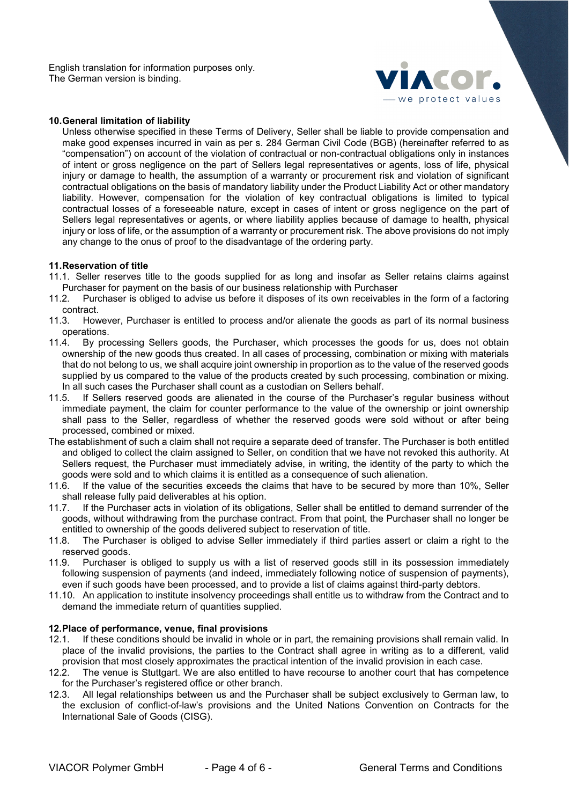

### **10.General limitation of liability**

Unless otherwise specified in these Terms of Delivery, Seller shall be liable to provide compensation and make good expenses incurred in vain as per s. 284 German Civil Code (BGB) (hereinafter referred to as "compensation") on account of the violation of contractual or non-contractual obligations only in instances of intent or gross negligence on the part of Sellers legal representatives or agents, loss of life, physical injury or damage to health, the assumption of a warranty or procurement risk and violation of significant contractual obligations on the basis of mandatory liability under the Product Liability Act or other mandatory liability. However, compensation for the violation of key contractual obligations is limited to typical contractual losses of a foreseeable nature, except in cases of intent or gross negligence on the part of Sellers legal representatives or agents, or where liability applies because of damage to health, physical injury or loss of life, or the assumption of a warranty or procurement risk. The above provisions do not imply any change to the onus of proof to the disadvantage of the ordering party.

### **11.Reservation of title**

- 11.1. Seller reserves title to the goods supplied for as long and insofar as Seller retains claims against Purchaser for payment on the basis of our business relationship with Purchaser<br>11.2. Purchaser is obliged to advise us before it disposes of its own receivables
- Purchaser is obliged to advise us before it disposes of its own receivables in the form of a factoring contract.
- 11.3. However, Purchaser is entitled to process and/or alienate the goods as part of its normal business operations.
- 11.4. By processing Sellers goods, the Purchaser, which processes the goods for us, does not obtain ownership of the new goods thus created. In all cases of processing, combination or mixing with materials that do not belong to us, we shall acquire joint ownership in proportion as to the value of the reserved goods supplied by us compared to the value of the products created by such processing, combination or mixing. In all such cases the Purchaser shall count as a custodian on Sellers behalf.
- 11.5. If Sellers reserved goods are alienated in the course of the Purchaser's regular business without immediate payment, the claim for counter performance to the value of the ownership or joint ownership shall pass to the Seller, regardless of whether the reserved goods were sold without or after being processed, combined or mixed.
- The establishment of such a claim shall not require a separate deed of transfer. The Purchaser is both entitled and obliged to collect the claim assigned to Seller, on condition that we have not revoked this authority. At Sellers request, the Purchaser must immediately advise, in writing, the identity of the party to which the
- goods were sold and to which claims it is entitled as a consequence of such alienation.<br>11.6. If the value of the securities exceeds the claims that have to be secured by more If the value of the securities exceeds the claims that have to be secured by more than 10%, Seller shall release fully paid deliverables at his option.<br>11.7. If the Purchaser acts in violation of its obliga
- If the Purchaser acts in violation of its obligations, Seller shall be entitled to demand surrender of the goods, without withdrawing from the purchase contract. From that point, the Purchaser shall no longer be entitled to ownership of the goods delivered subject to reservation of title.
- 11.8. The Purchaser is obliged to advise Seller immediately if third parties assert or claim a right to the reserved goods.
- 11.9. Purchaser is obliged to supply us with a list of reserved goods still in its possession immediately following suspension of payments (and indeed, immediately following notice of suspension of payments), even if such goods have been processed, and to provide a list of claims against third-party debtors.
- 11.10. An application to institute insolvency proceedings shall entitle us to withdraw from the Contract and to demand the immediate return of quantities supplied.

### **12.Place of performance, venue, final provisions**

- 12.1. If these conditions should be invalid in whole or in part, the remaining provisions shall remain valid. In place of the invalid provisions, the parties to the Contract shall agree in writing as to a different, valid provision that most closely approximates the practical intention of the invalid provision in each case.
- 12.2. The venue is Stuttgart. We are also entitled to have recourse to another court that has competence for the Purchaser's registered office or other branch.
- 12.3. All legal relationships between us and the Purchaser shall be subject exclusively to German law, to the exclusion of conflict-of-law's provisions and the United Nations Convention on Contracts for the International Sale of Goods (CISG).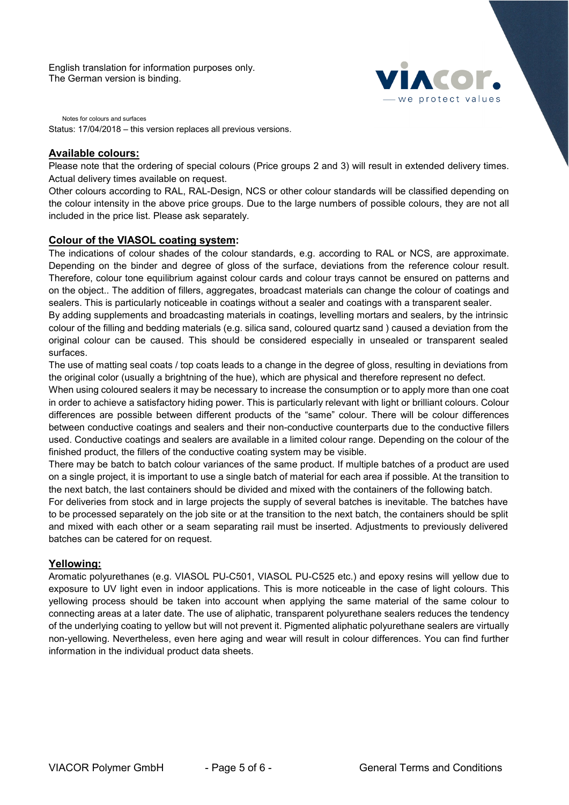

Notes for colours and surfaces Status: 17/04/2018 – this version replaces all previous versions.

# **Available colours:**

Please note that the ordering of special colours (Price groups 2 and 3) will result in extended delivery times. Actual delivery times available on request.

Other colours according to RAL, RAL-Design, NCS or other colour standards will be classified depending on the colour intensity in the above price groups. Due to the large numbers of possible colours, they are not all included in the price list. Please ask separately.

# **Colour of the VIASOL coating system:**

The indications of colour shades of the colour standards, e.g. according to RAL or NCS, are approximate. Depending on the binder and degree of gloss of the surface, deviations from the reference colour result. Therefore, colour tone equilibrium against colour cards and colour trays cannot be ensured on patterns and on the object.. The addition of fillers, aggregates, broadcast materials can change the colour of coatings and sealers. This is particularly noticeable in coatings without a sealer and coatings with a transparent sealer.

By adding supplements and broadcasting materials in coatings, levelling mortars and sealers, by the intrinsic colour of the filling and bedding materials (e.g. silica sand, coloured quartz sand ) caused a deviation from the original colour can be caused. This should be considered especially in unsealed or transparent sealed surfaces.

The use of matting seal coats / top coats leads to a change in the degree of gloss, resulting in deviations from the original color (usually a brightning of the hue), which are physical and therefore represent no defect.

When using coloured sealers it may be necessary to increase the consumption or to apply more than one coat in order to achieve a satisfactory hiding power. This is particularly relevant with light or brilliant colours. Colour differences are possible between different products of the "same" colour. There will be colour differences between conductive coatings and sealers and their non-conductive counterparts due to the conductive fillers used. Conductive coatings and sealers are available in a limited colour range. Depending on the colour of the finished product, the fillers of the conductive coating system may be visible.

There may be batch to batch colour variances of the same product. If multiple batches of a product are used on a single project, it is important to use a single batch of material for each area if possible. At the transition to the next batch, the last containers should be divided and mixed with the containers of the following batch.

For deliveries from stock and in large projects the supply of several batches is inevitable. The batches have to be processed separately on the job site or at the transition to the next batch, the containers should be split and mixed with each other or a seam separating rail must be inserted. Adjustments to previously delivered batches can be catered for on request.

# **Yellowing:**

Aromatic polyurethanes (e.g. VIASOL PU-C501, VIASOL PU-C525 etc.) and epoxy resins will yellow due to exposure to UV light even in indoor applications. This is more noticeable in the case of light colours. This yellowing process should be taken into account when applying the same material of the same colour to connecting areas at a later date. The use of aliphatic, transparent polyurethane sealers reduces the tendency of the underlying coating to yellow but will not prevent it. Pigmented aliphatic polyurethane sealers are virtually non-yellowing. Nevertheless, even here aging and wear will result in colour differences. You can find further information in the individual product data sheets.